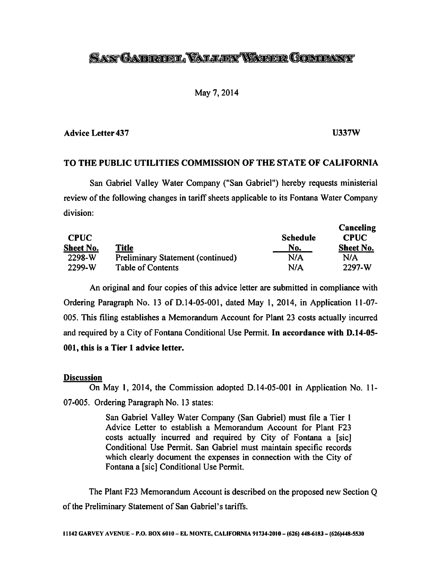# SANT GARDENDEL VALLEEY WATER COMPANY

## May 7,2014

## *Advice Letter 437 U337W*

*Canceling*

## *TO THE PUBLIC UTILITIES COMMISSION OF THE STATE OF CALIFORNIA*

San Gabriel Valley Water Company ("San Gabriel") hereby requests ministerial review of the following changes in tariff sheets applicable to its Fontana Water Company division:

| <b>CPUC</b> |                                          | <b>Schedule</b> | Canceling<br><b>CPUC</b> |  |
|-------------|------------------------------------------|-----------------|--------------------------|--|
| Sheet No.   | <b>Title</b>                             | No.             | <b>Sheet No.</b>         |  |
| 2298-W      | <b>Preliminary Statement (continued)</b> | N/A             | N/A                      |  |
| 2299-W      | <b>Table of Contents</b>                 | N/A             | 2297-W                   |  |

An original and four copies of this advice letter are submitted in compliance with Ordering Paragraph No. 13 of D.14-05-001, dated May 1, 2014, in Application 11-07- 005. This filing establishes a Memorandum Account for Plant 23 costs actually incurred and required by a City of Fontana Conditional Use Permit. *In accordance with D.14-05- 001, this is a Tier 1 advice letter.*

## *Discussion*

On May *1,* 2014, the Commission adopted D. 14-05-001 in Application No. 11- 07-005. Ordering Paragraph No. 13 states:

> San Gabriel Valley Water Company (San Gabriel) must file a Tier 1 Advice Letter to establish a Memorandum Account for Plant F23 costs actually incurred and required by City of Fontana a [sic] Conditional Use Permit. San Gabriel must maintain specific records which clearly document the expenses in connection with the City of Fontana a [sic] Conditional Use Permit.

The Plant F23 Memorandum Account is described on the proposed new Section Q of the Preliminary Statement of San Gabriel's tariffs.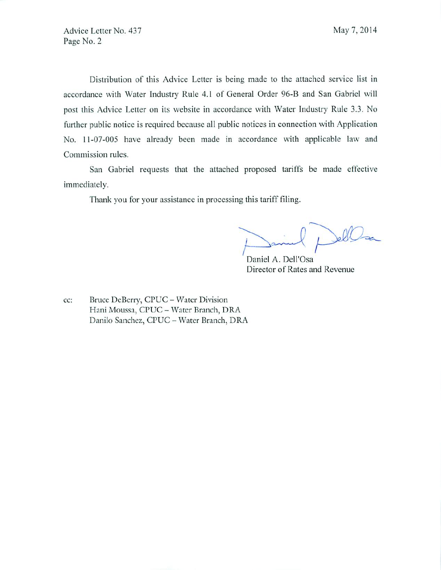Distribution of this Advice Letter is being made to the attached service list in accordance with Water Industry Rule 4.1 of General Order 96-B and San Gabriel will post this Advice Letter on its website in accordance with Water Industry Rule 3.3. No further public notice is required because all public notices in connection with Application No. 11-07-005 have already been made in accordance with applicable law and Commission rules.

San Gabriel requests that the attached proposed tariffs be made effective immediately.

Thank you for your assistance in processing this tariff filing.

Jelles

Daniel A. Dell'Osa Director of Rates and Revenue

cc: Bruce DcBcrry, CPUC - Water Division Hani Moussa, CPUC - Water Branch, DRA Danilo Sanchez, CPUC - Water Branch, DRA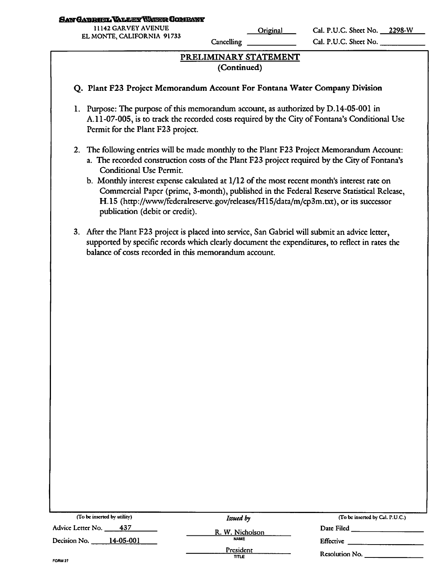### SAN GABRIEL VALLEY VALER COMBANY

11142 GARVEY AVENUE EL MONTE, CALIFORNIA 91733<br>EL MONTE, CALIFORNIA 91733

Cancelling

Cal. P.U.C. Sheet No. <u>2298-W</u> Cal. P.U.C. Sheet No.

## *PRELIMINARY STATEMENT (Continued)*

## *Q. Plant F23 Project Memorandum Account For Fontana Water Company Division*

- 1. Purpose: The purpose of this memorandum account, as authorized by D.14-05-001 in A.11-07-005, is to track the recorded costs required by the City of Fontana's Conditional Use Permit for the Plant F23 project.
- 2. The following entries will be made monthly to the Plant F23 Project Memorandum Account:
	- a. The recorded construction costs of the Plant F23 project required by the City of Fontana's Conditional Use Permit.
	- b. Monthly interest expense calculated at  $1/12$  of the most recent month's interest rate on Commercial Paper (prime, 3-month), published in the Federal Reserve Statistical Release, H.15 (http://www/federalreserve.gov/releases/H15/data/m/cp3m.txt), or its successor publication (debit or credit).
- 3. After the Plant F23 project is placed into service, San Gabriel will submit an advice letter, supported by specific records which clearly document the expenditures, to reflect in rates the balance of costs recorded in this memorandum account.

| (To be inserted by utility) | Issued by                      | (To be inserted by Cal. P.U.C.) |
|-----------------------------|--------------------------------|---------------------------------|
| Advice Letter No.<br>437    | R. W. Nicholson<br><b>NAME</b> | Date Filed                      |
| Decision No.<br>14-05-001   |                                | Effective                       |
|                             | President<br>TITLE             | Resolution No.                  |
| FORM 27                     |                                |                                 |